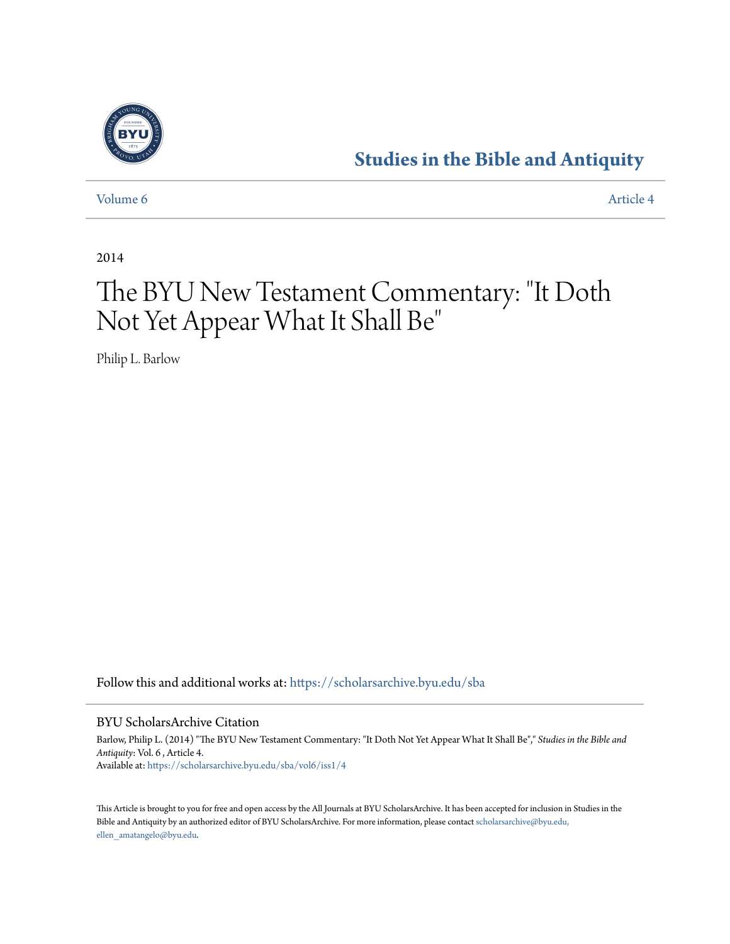

# **[Studies in the Bible and Antiquity](https://scholarsarchive.byu.edu/sba?utm_source=scholarsarchive.byu.edu%2Fsba%2Fvol6%2Fiss1%2F4&utm_medium=PDF&utm_campaign=PDFCoverPages)**

[Volume 6](https://scholarsarchive.byu.edu/sba/vol6?utm_source=scholarsarchive.byu.edu%2Fsba%2Fvol6%2Fiss1%2F4&utm_medium=PDF&utm_campaign=PDFCoverPages) [Article 4](https://scholarsarchive.byu.edu/sba/vol6/iss1/4?utm_source=scholarsarchive.byu.edu%2Fsba%2Fvol6%2Fiss1%2F4&utm_medium=PDF&utm_campaign=PDFCoverPages)

2014

# The BYU New Testament Commentary: "It Doth Not Yet Appear What It Shall Be "

Philip L. Barlow

Follow this and additional works at: [https://scholarsarchive.byu.edu/sba](https://scholarsarchive.byu.edu/sba?utm_source=scholarsarchive.byu.edu%2Fsba%2Fvol6%2Fiss1%2F4&utm_medium=PDF&utm_campaign=PDFCoverPages)

BYU ScholarsArchive Citation

Barlow, Philip L. (2014) "The BYU New Testament Commentary: "It Doth Not Yet Appear What It Shall Be"," *Studies in the Bible and Antiquity*: Vol. 6 , Article 4. Available at: [https://scholarsarchive.byu.edu/sba/vol6/iss1/4](https://scholarsarchive.byu.edu/sba/vol6/iss1/4?utm_source=scholarsarchive.byu.edu%2Fsba%2Fvol6%2Fiss1%2F4&utm_medium=PDF&utm_campaign=PDFCoverPages)

This Article is brought to you for free and open access by the All Journals at BYU ScholarsArchive. It has been accepted for inclusion in Studies in the Bible and Antiquity by an authorized editor of BYU ScholarsArchive. For more information, please contact [scholarsarchive@byu.edu,](mailto:scholarsarchive@byu.edu,%20ellen_amatangelo@byu.edu) [ellen\\_amatangelo@byu.edu.](mailto:scholarsarchive@byu.edu,%20ellen_amatangelo@byu.edu)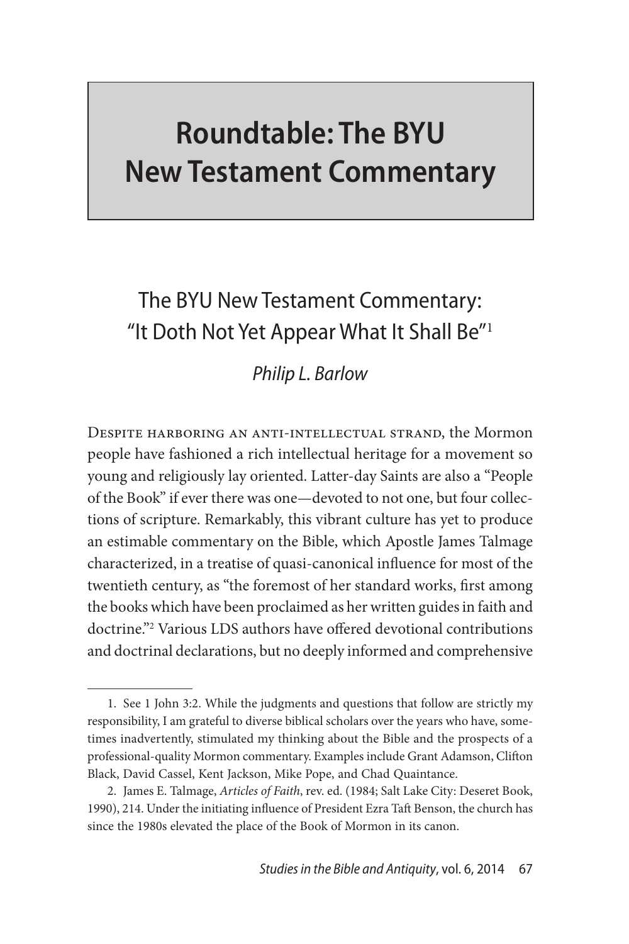# **Roundtable: The BYU New Testament Commentary**

# The BYU New Testament Commentary: "It Doth Not Yet Appear What It Shall Be $"$ <sup>1</sup>

## *Philip L. Barlow*

Despite harboring an anti-intellectual strand, the Mormon people have fashioned a rich intellectual heritage for a movement so young and religiously lay oriented. Latter-day Saints are also a "People of the Book" if ever there was one—devoted to not one, but four collections of scripture. Remarkably, this vibrant culture has yet to produce an estimable commentary on the Bible, which Apostle James Talmage characterized, in a treatise of quasi-canonical influence for most of the twentieth century, as "the foremost of her standard works, first among the books which have been proclaimed as her written guides in faith and doctrine."2 Various LDS authors have offered devotional contributions and doctrinal declarations, but no deeply informed and comprehensive

<sup>1.</sup> See 1 John 3:2. While the judgments and questions that follow are strictly my responsibility, I am grateful to diverse biblical scholars over the years who have, sometimes inadvertently, stimulated my thinking about the Bible and the prospects of a professional-quality Mormon commentary. Examples include Grant Adamson, Clifton Black, David Cassel, Kent Jackson, Mike Pope, and Chad Quaintance.

<sup>2.</sup> James E. Talmage, *Articles of Faith*, rev. ed. (1984; Salt Lake City: Deseret Book, 1990), 214. Under the initiating influence of President Ezra Taft Benson, the church has since the 1980s elevated the place of the Book of Mormon in its canon.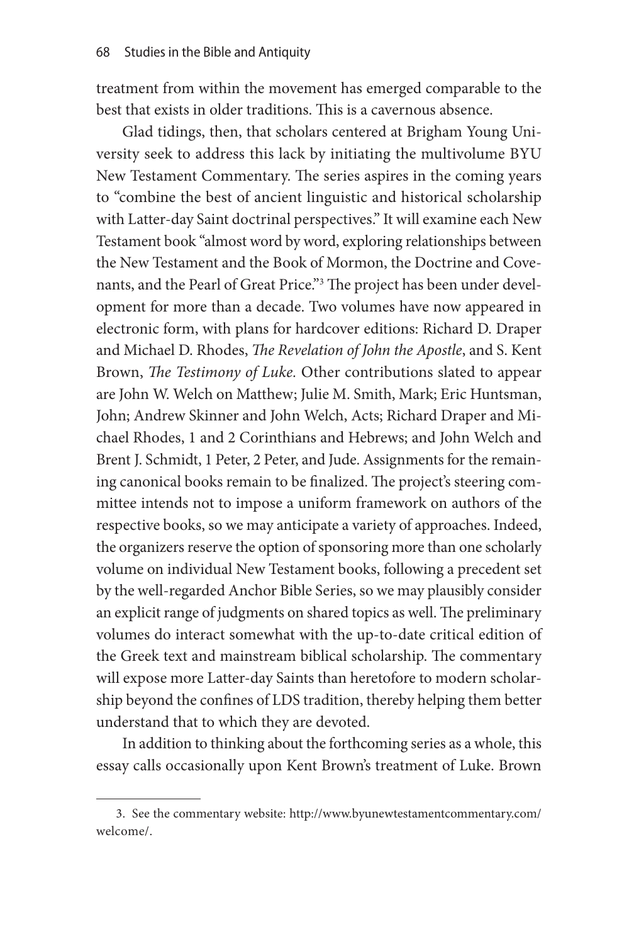treatment from within the movement has emerged comparable to the best that exists in older traditions. This is a cavernous absence.

Glad tidings, then, that scholars centered at Brigham Young University seek to address this lack by initiating the multivolume BYU New Testament Commentary. The series aspires in the coming years to "combine the best of ancient linguistic and historical scholarship with Latter-day Saint doctrinal perspectives." It will examine each New Testament book "almost word by word, exploring relationships between the New Testament and the Book of Mormon, the Doctrine and Covenants, and the Pearl of Great Price."<sup>3</sup> The project has been under development for more than a decade. Two volumes have now appeared in electronic form, with plans for hardcover editions: Richard D. Draper and Michael D. Rhodes, *The Revelation of John the Apostle*, and S. Kent Brown, *The Testimony of Luke.* Other contributions slated to appear are John W. Welch on Matthew; Julie M. Smith, Mark; Eric Huntsman, John; Andrew Skinner and John Welch, Acts; Richard Draper and Michael Rhodes, 1 and 2 Corinthians and Hebrews; and John Welch and Brent J. Schmidt, 1 Peter, 2 Peter, and Jude. Assignments for the remaining canonical books remain to be finalized. The project's steering committee intends not to impose a uniform framework on authors of the respective books, so we may anticipate a variety of approaches. Indeed, the organizers reserve the option of sponsoring more than one scholarly volume on individual New Testament books, following a precedent set by the well-regarded Anchor Bible Series, so we may plausibly consider an explicit range of judgments on shared topics as well. The preliminary volumes do interact somewhat with the up-to-date critical edition of the Greek text and mainstream biblical scholarship. The commentary will expose more Latter-day Saints than heretofore to modern scholarship beyond the confines of LDS tradition, thereby helping them better understand that to which they are devoted.

In addition to thinking about the forthcoming series as a whole, this essay calls occasionally upon Kent Brown's treatment of Luke. Brown

<sup>3.</sup> See the commentary website: http://www.byunewtestamentcommentary.com/ welcome/.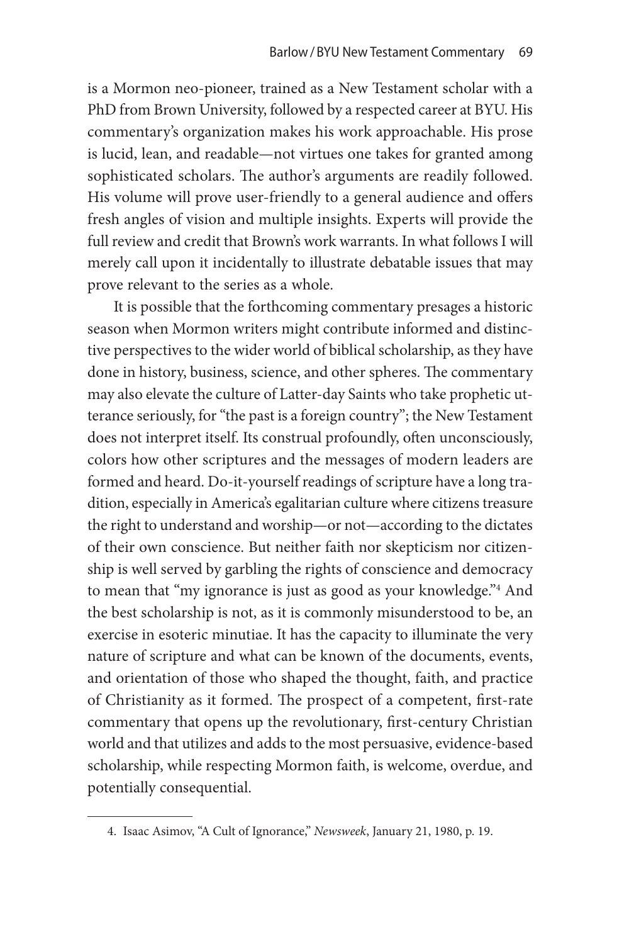is a Mormon neo-pioneer, trained as a New Testament scholar with a PhD from Brown University, followed by a respected career at BYU. His commentary's organization makes his work approachable. His prose is lucid, lean, and readable—not virtues one takes for granted among sophisticated scholars. The author's arguments are readily followed. His volume will prove user-friendly to a general audience and offers fresh angles of vision and multiple insights. Experts will provide the full review and credit that Brown's work warrants. In what follows I will merely call upon it incidentally to illustrate debatable issues that may prove relevant to the series as a whole.

It is possible that the forthcoming commentary presages a historic season when Mormon writers might contribute informed and distinctive perspectives to the wider world of biblical scholarship, as they have done in history, business, science, and other spheres. The commentary may also elevate the culture of Latter-day Saints who take prophetic utterance seriously, for "the past is a foreign country"; the New Testament does not interpret itself. Its construal profoundly, often unconsciously, colors how other scriptures and the messages of modern leaders are formed and heard. Do-it-yourself readings of scripture have a long tradition, especially in America's egalitarian culture where citizens treasure the right to understand and worship—or not—according to the dictates of their own conscience. But neither faith nor skepticism nor citizenship is well served by garbling the rights of conscience and democracy to mean that "my ignorance is just as good as your knowledge."4 And the best scholarship is not, as it is commonly misunderstood to be, an exercise in esoteric minutiae. It has the capacity to illuminate the very nature of scripture and what can be known of the documents, events, and orientation of those who shaped the thought, faith, and practice of Christianity as it formed. The prospect of a competent, first-rate commentary that opens up the revolutionary, first-century Christian world and that utilizes and adds to the most persuasive, evidence-based scholarship, while respecting Mormon faith, is welcome, overdue, and potentially consequential.

<sup>4.</sup> Isaac Asimov, "A Cult of Ignorance," *Newsweek*, January 21, 1980, p. 19.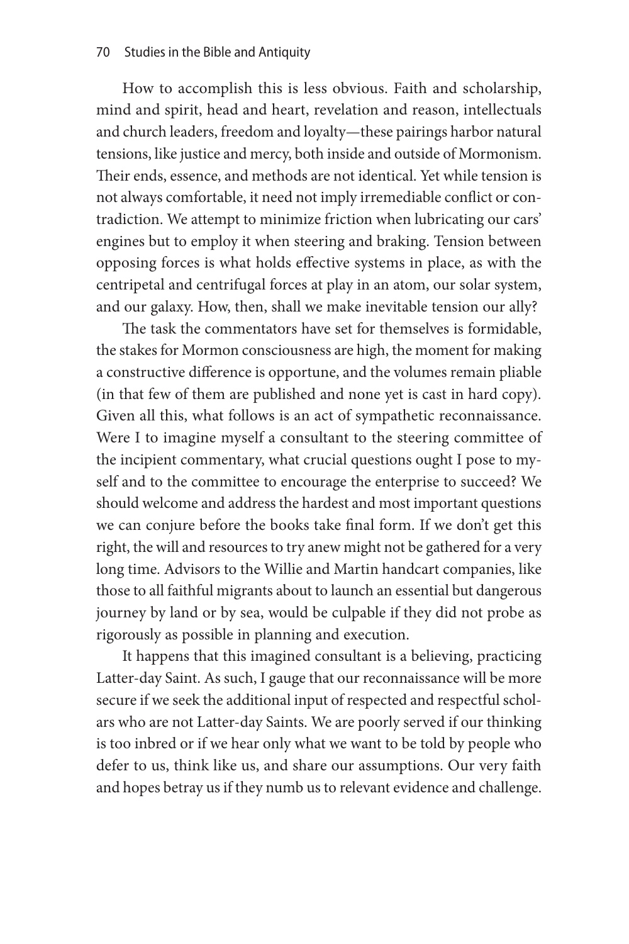How to accomplish this is less obvious. Faith and scholarship, mind and spirit, head and heart, revelation and reason, intellectuals and church leaders, freedom and loyalty—these pairings harbor natural tensions, like justice and mercy, both inside and outside of Mormonism. Their ends, essence, and methods are not identical. Yet while tension is not always comfortable, it need not imply irremediable conflict or contradiction. We attempt to minimize friction when lubricating our cars' engines but to employ it when steering and braking. Tension between opposing forces is what holds effective systems in place, as with the centripetal and centrifugal forces at play in an atom, our solar system, and our galaxy. How, then, shall we make inevitable tension our ally?

The task the commentators have set for themselves is formidable, the stakes for Mormon consciousness are high, the moment for making a constructive difference is opportune, and the volumes remain pliable (in that few of them are published and none yet is cast in hard copy). Given all this, what follows is an act of sympathetic reconnaissance. Were I to imagine myself a consultant to the steering committee of the incipient commentary, what crucial questions ought I pose to myself and to the committee to encourage the enterprise to succeed? We should welcome and address the hardest and most important questions we can conjure before the books take final form. If we don't get this right, the will and resources to try anew might not be gathered for a very long time. Advisors to the Willie and Martin handcart companies, like those to all faithful migrants about to launch an essential but dangerous journey by land or by sea, would be culpable if they did not probe as rigorously as possible in planning and execution.

It happens that this imagined consultant is a believing, practicing Latter-day Saint. As such, I gauge that our reconnaissance will be more secure if we seek the additional input of respected and respectful scholars who are not Latter-day Saints. We are poorly served if our thinking is too inbred or if we hear only what we want to be told by people who defer to us, think like us, and share our assumptions. Our very faith and hopes betray us if they numb us to relevant evidence and challenge.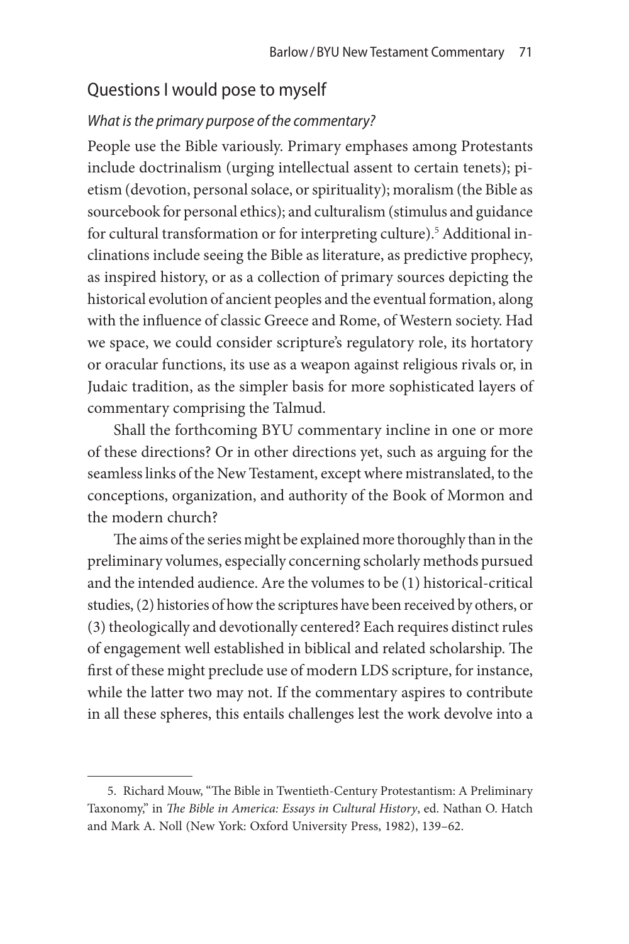#### Questions I would pose to myself

#### *What is the primary purpose of the commentary?*

People use the Bible variously. Primary emphases among Protestants include doctrinalism (urging intellectual assent to certain tenets); pietism (devotion, personal solace, or spirituality); moralism (the Bible as sourcebook for personal ethics); and culturalism (stimulus and guidance for cultural transformation or for interpreting culture).<sup>5</sup> Additional inclinations include seeing the Bible as literature, as predictive prophecy, as inspired history, or as a collection of primary sources depicting the historical evolution of ancient peoples and the eventual formation, along with the influence of classic Greece and Rome, of Western society. Had we space, we could consider scripture's regulatory role, its hortatory or oracular functions, its use as a weapon against religious rivals or, in Judaic tradition, as the simpler basis for more sophisticated layers of commentary comprising the Talmud.

Shall the forthcoming BYU commentary incline in one or more of these directions? Or in other directions yet, such as arguing for the seamless links of the New Testament, except where mistranslated, to the conceptions, organization, and authority of the Book of Mormon and the modern church?

The aims of the series might be explained more thoroughly than in the preliminary volumes, especially concerning scholarly methods pursued and the intended audience. Are the volumes to be (1) historical-critical studies, (2) histories of how the scriptures have been received by others, or (3) theologically and devotionally centered? Each requires distinct rules of engagement well established in biblical and related scholarship. The first of these might preclude use of modern LDS scripture, for instance, while the latter two may not. If the commentary aspires to contribute in all these spheres, this entails challenges lest the work devolve into a

<sup>5.</sup> Richard Mouw, "The Bible in Twentieth-Century Protestantism: A Preliminary Taxonomy," in *The Bible in America: Essays in Cultural History*, ed. Nathan O. Hatch and Mark A. Noll (New York: Oxford University Press, 1982), 139–62.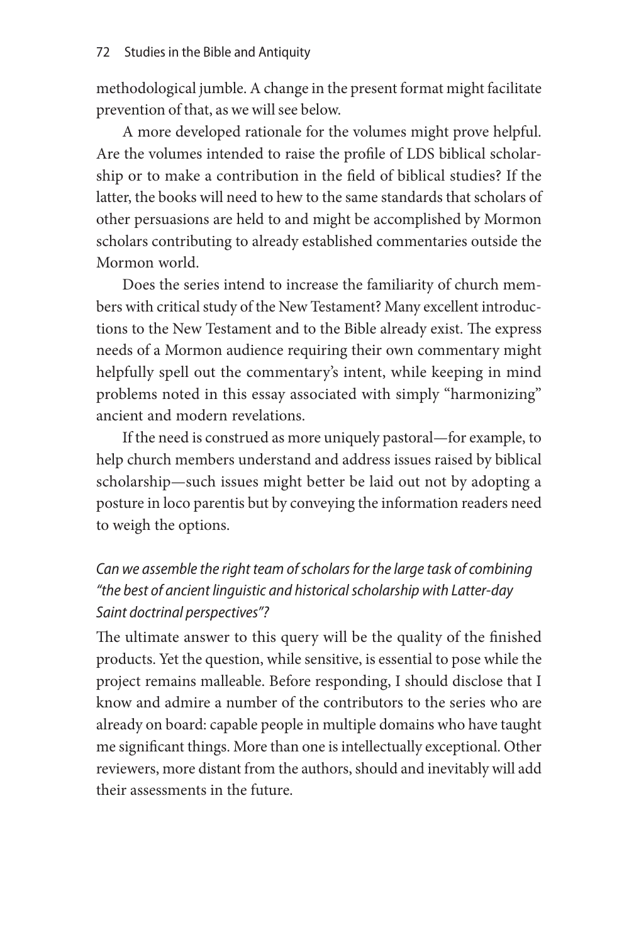methodological jumble. A change in the present format might facilitate prevention of that, as we will see below.

A more developed rationale for the volumes might prove helpful. Are the volumes intended to raise the profile of LDS biblical scholarship or to make a contribution in the field of biblical studies? If the latter, the books will need to hew to the same standards that scholars of other persuasions are held to and might be accomplished by Mormon scholars contributing to already established commentaries outside the Mormon world.

Does the series intend to increase the familiarity of church members with critical study of the New Testament? Many excellent introductions to the New Testament and to the Bible already exist. The express needs of a Mormon audience requiring their own commentary might helpfully spell out the commentary's intent, while keeping in mind problems noted in this essay associated with simply "harmonizing" ancient and modern revelations.

If the need is construed as more uniquely pastoral—for example, to help church members understand and address issues raised by biblical scholarship—such issues might better be laid out not by adopting a posture in loco parentis but by conveying the information readers need to weigh the options.

## *Can we assemble the right team of scholars for the large task of combining "the best of ancient linguistic and historical scholarship with Latter-day Saint doctrinal perspectives"?*

The ultimate answer to this query will be the quality of the finished products. Yet the question, while sensitive, is essential to pose while the project remains malleable. Before responding, I should disclose that I know and admire a number of the contributors to the series who are already on board: capable people in multiple domains who have taught me significant things. More than one is intellectually exceptional. Other reviewers, more distant from the authors, should and inevitably will add their assessments in the future.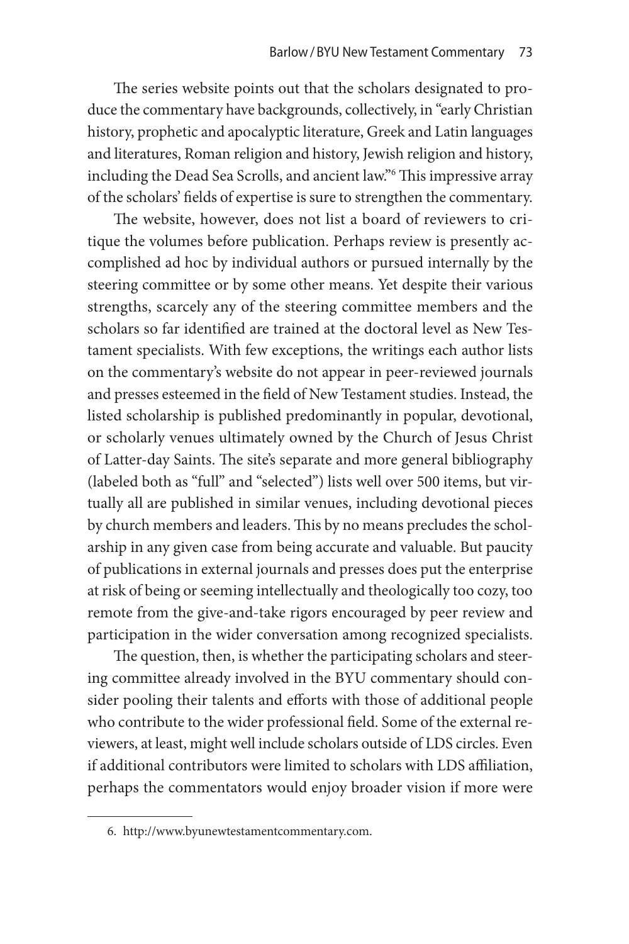The series website points out that the scholars designated to produce the commentary have backgrounds, collectively, in "early Christian history, prophetic and apocalyptic literature, Greek and Latin languages and literatures, Roman religion and history, Jewish religion and history, including the Dead Sea Scrolls, and ancient law."6 This impressive array of the scholars' fields of expertise is sure to strengthen the commentary.

The website, however, does not list a board of reviewers to critique the volumes before publication. Perhaps review is presently accomplished ad hoc by individual authors or pursued internally by the steering committee or by some other means. Yet despite their various strengths, scarcely any of the steering committee members and the scholars so far identified are trained at the doctoral level as New Testament specialists. With few exceptions, the writings each author lists on the commentary's website do not appear in peer-reviewed journals and presses esteemed in the field of New Testament studies. Instead, the listed scholarship is published predominantly in popular, devotional, or scholarly venues ultimately owned by the Church of Jesus Christ of Latter-day Saints. The site's separate and more general bibliography (labeled both as "full" and "selected") lists well over 500 items, but virtually all are published in similar venues, including devotional pieces by church members and leaders. This by no means precludes the scholarship in any given case from being accurate and valuable. But paucity of publications in external journals and presses does put the enterprise at risk of being or seeming intellectually and theologically too cozy, too remote from the give-and-take rigors encouraged by peer review and participation in the wider conversation among recognized specialists.

The question, then, is whether the participating scholars and steering committee already involved in the BYU commentary should consider pooling their talents and efforts with those of additional people who contribute to the wider professional field. Some of the external reviewers, at least, might well include scholars outside of LDS circles. Even if additional contributors were limited to scholars with LDS affiliation, perhaps the commentators would enjoy broader vision if more were

<sup>6.</sup> http://www.byunewtestamentcommentary.com.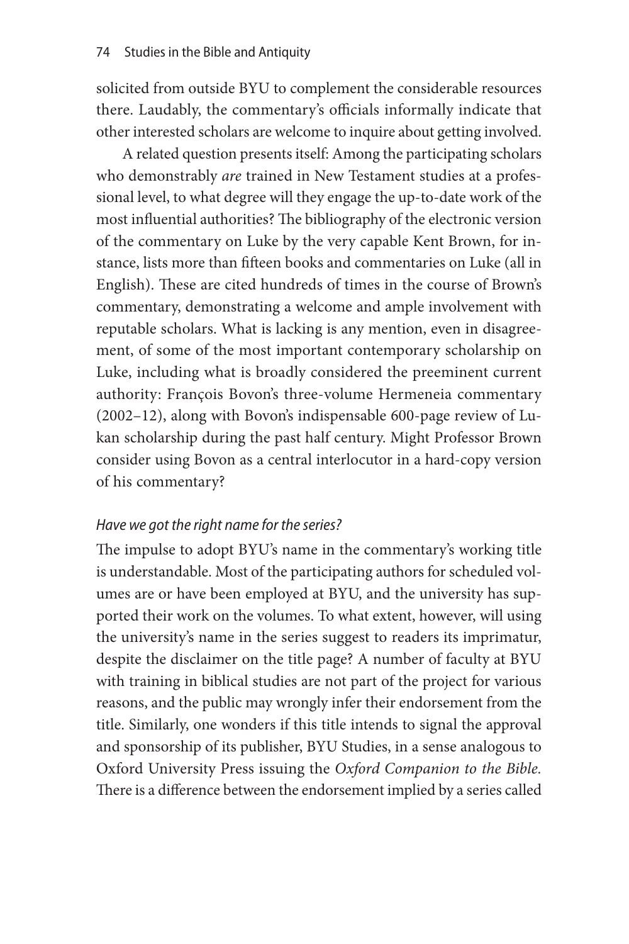solicited from outside BYU to complement the considerable resources there. Laudably, the commentary's officials informally indicate that other interested scholars are welcome to inquire about getting involved.

A related question presents itself: Among the participating scholars who demonstrably *are* trained in New Testament studies at a professional level, to what degree will they engage the up-to-date work of the most influential authorities? The bibliography of the electronic version of the commentary on Luke by the very capable Kent Brown, for instance, lists more than fifteen books and commentaries on Luke (all in English). These are cited hundreds of times in the course of Brown's commentary, demonstrating a welcome and ample involvement with reputable scholars. What is lacking is any mention, even in disagreement, of some of the most important contemporary scholarship on Luke, including what is broadly considered the preeminent current authority: François Bovon's three-volume Hermeneia commentary (2002–12), along with Bovon's indispensable 600-page review of Lukan scholarship during the past half century. Might Professor Brown consider using Bovon as a central interlocutor in a hard-copy version of his commentary?

#### *Have we got the right name for the series?*

The impulse to adopt BYU's name in the commentary's working title is understandable. Most of the participating authors for scheduled volumes are or have been employed at BYU, and the university has supported their work on the volumes. To what extent, however, will using the university's name in the series suggest to readers its imprimatur, despite the disclaimer on the title page? A number of faculty at BYU with training in biblical studies are not part of the project for various reasons, and the public may wrongly infer their endorsement from the title. Similarly, one wonders if this title intends to signal the approval and sponsorship of its publisher, BYU Studies, in a sense analogous to Oxford University Press issuing the *Oxford Companion to the Bible.*  There is a difference between the endorsement implied by a series called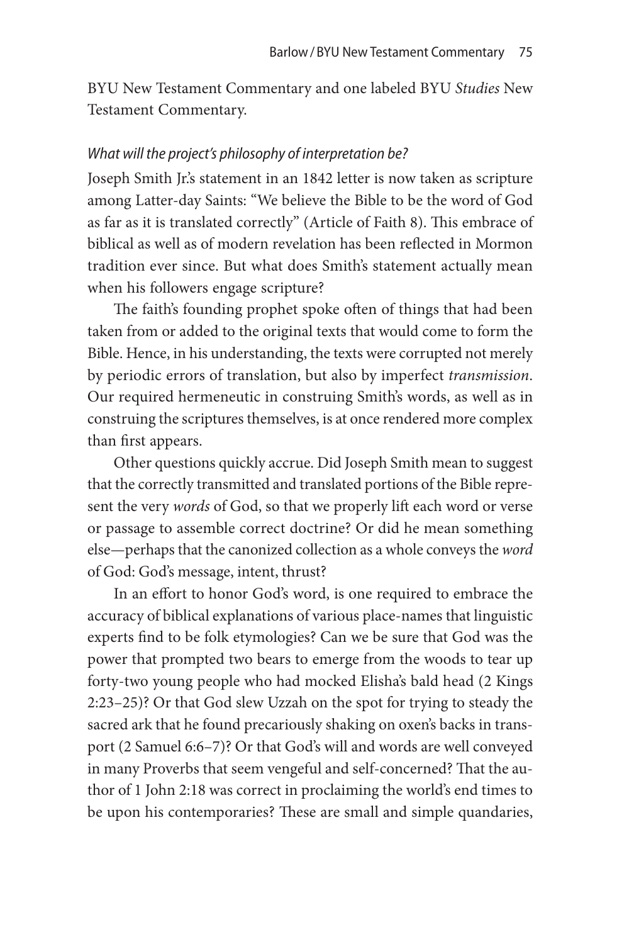BYU New Testament Commentary and one labeled BYU *Studies* New Testament Commentary.

#### *What will the project's philosophy of interpretation be?*

Joseph Smith Jr.'s statement in an 1842 letter is now taken as scripture among Latter-day Saints: "We believe the Bible to be the word of God as far as it is translated correctly" (Article of Faith 8). This embrace of biblical as well as of modern revelation has been reflected in Mormon tradition ever since. But what does Smith's statement actually mean when his followers engage scripture?

The faith's founding prophet spoke often of things that had been taken from or added to the original texts that would come to form the Bible. Hence, in his understanding, the texts were corrupted not merely by periodic errors of translation, but also by imperfect *transmission*. Our required hermeneutic in construing Smith's words, as well as in construing the scriptures themselves, is at once rendered more complex than first appears.

Other questions quickly accrue. Did Joseph Smith mean to suggest that the correctly transmitted and translated portions of the Bible represent the very *words* of God, so that we properly lift each word or verse or passage to assemble correct doctrine? Or did he mean something else—perhaps that the canonized collection as a whole conveys the *word*  of God: God's message, intent, thrust?

In an effort to honor God's word, is one required to embrace the accuracy of biblical explanations of various place-names that linguistic experts find to be folk etymologies? Can we be sure that God was the power that prompted two bears to emerge from the woods to tear up forty-two young people who had mocked Elisha's bald head (2 Kings 2:23–25)? Or that God slew Uzzah on the spot for trying to steady the sacred ark that he found precariously shaking on oxen's backs in transport (2 Samuel 6:6–7)? Or that God's will and words are well conveyed in many Proverbs that seem vengeful and self-concerned? That the author of 1 John 2:18 was correct in proclaiming the world's end times to be upon his contemporaries? These are small and simple quandaries,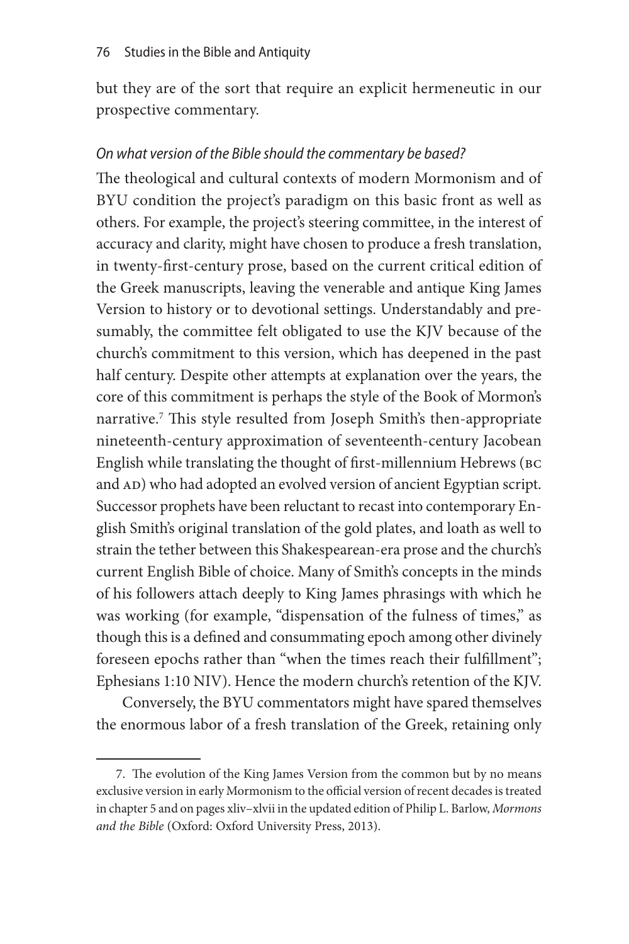but they are of the sort that require an explicit hermeneutic in our prospective commentary.

#### *On what version of the Bible should the commentary be based?*

The theological and cultural contexts of modern Mormonism and of BYU condition the project's paradigm on this basic front as well as others. For example, the project's steering committee, in the interest of accuracy and clarity, might have chosen to produce a fresh translation, in twenty-first-century prose, based on the current critical edition of the Greek manuscripts, leaving the venerable and antique King James Version to history or to devotional settings. Understandably and presumably, the committee felt obligated to use the KJV because of the church's commitment to this version, which has deepened in the past half century. Despite other attempts at explanation over the years, the core of this commitment is perhaps the style of the Book of Mormon's narrative.7 This style resulted from Joseph Smith's then-appropriate nineteenth-century approximation of seventeenth-century Jacobean English while translating the thought of first-millennium Hebrews (bc and AD) who had adopted an evolved version of ancient Egyptian script. Successor prophets have been reluctant to recast into contemporary English Smith's original translation of the gold plates, and loath as well to strain the tether between this Shakespearean-era prose and the church's current English Bible of choice. Many of Smith's concepts in the minds of his followers attach deeply to King James phrasings with which he was working (for example, "dispensation of the fulness of times," as though this is a defined and consummating epoch among other divinely foreseen epochs rather than "when the times reach their fulfillment"; Ephesians 1:10 NIV). Hence the modern church's retention of the KJV.

Conversely, the BYU commentators might have spared themselves the enormous labor of a fresh translation of the Greek, retaining only

<sup>7.</sup> The evolution of the King James Version from the common but by no means exclusive version in early Mormonism to the official version of recent decades is treated in chapter 5 and on pages xliv–xlvii in the updated edition of Philip L. Barlow, *Mormons and the Bible* (Oxford: Oxford University Press, 2013).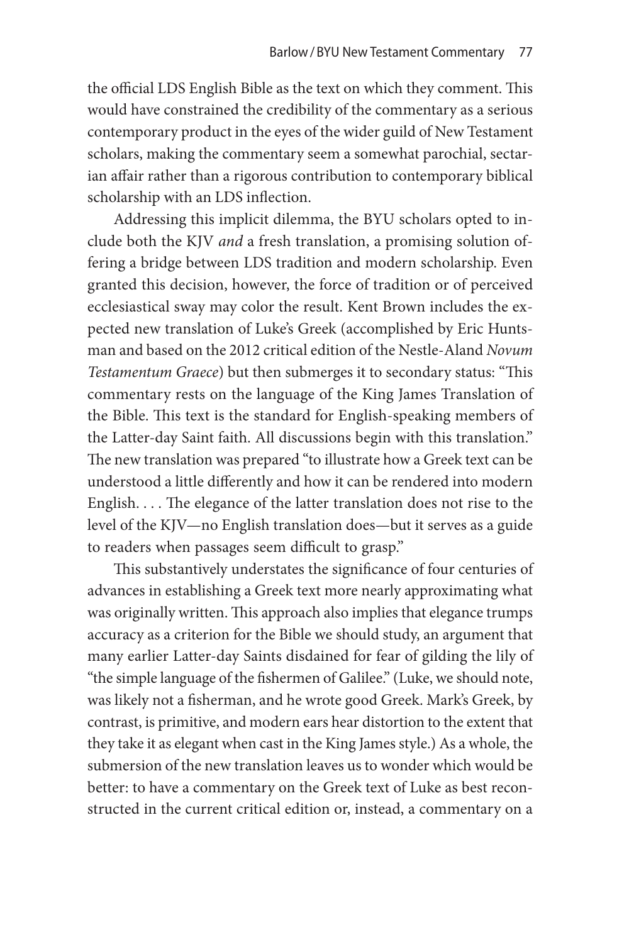the official LDS English Bible as the text on which they comment. This would have constrained the credibility of the commentary as a serious contemporary product in the eyes of the wider guild of New Testament scholars, making the commentary seem a somewhat parochial, sectarian affair rather than a rigorous contribution to contemporary biblical scholarship with an LDS inflection.

Addressing this implicit dilemma, the BYU scholars opted to include both the KJV *and* a fresh translation, a promising solution offering a bridge between LDS tradition and modern scholarship. Even granted this decision, however, the force of tradition or of perceived ecclesiastical sway may color the result. Kent Brown includes the expected new translation of Luke's Greek (accomplished by Eric Huntsman and based on the 2012 critical edition of the Nestle-Aland *Novum Testamentum Graece*) but then submerges it to secondary status: "This commentary rests on the language of the King James Translation of the Bible. This text is the standard for English-speaking members of the Latter-day Saint faith. All discussions begin with this translation." The new translation was prepared "to illustrate how a Greek text can be understood a little differently and how it can be rendered into modern English. . . . The elegance of the latter translation does not rise to the level of the KJV—no English translation does—but it serves as a guide to readers when passages seem difficult to grasp."

This substantively understates the significance of four centuries of advances in establishing a Greek text more nearly approximating what was originally written. This approach also implies that elegance trumps accuracy as a criterion for the Bible we should study, an argument that many earlier Latter-day Saints disdained for fear of gilding the lily of "the simple language of the fishermen of Galilee." (Luke, we should note, was likely not a fisherman, and he wrote good Greek. Mark's Greek, by contrast, is primitive, and modern ears hear distortion to the extent that they take it as elegant when cast in the King James style.) As a whole, the submersion of the new translation leaves us to wonder which would be better: to have a commentary on the Greek text of Luke as best reconstructed in the current critical edition or, instead, a commentary on a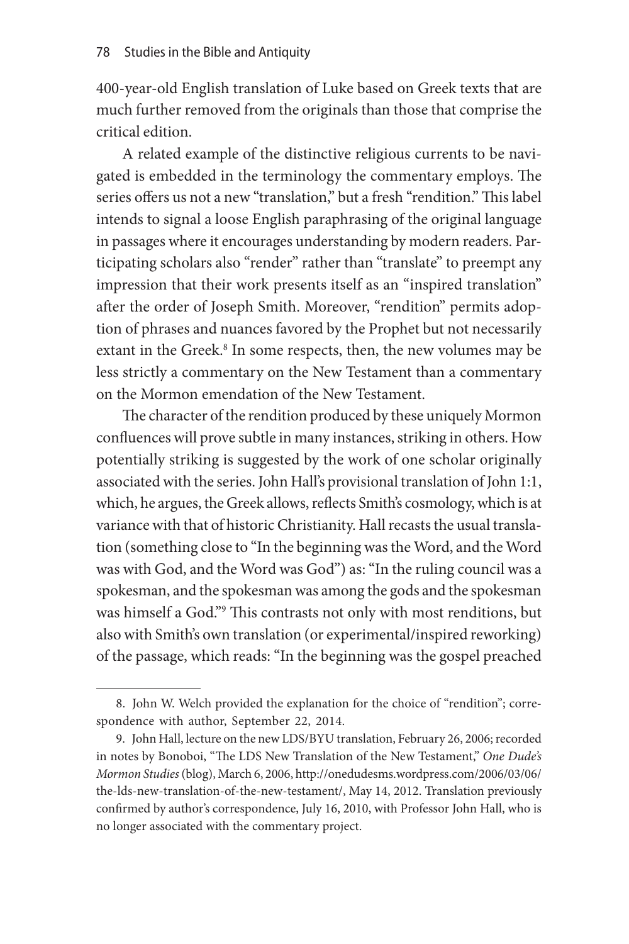400-year-old English translation of Luke based on Greek texts that are much further removed from the originals than those that comprise the critical edition.

A related example of the distinctive religious currents to be navigated is embedded in the terminology the commentary employs. The series offers us not a new "translation," but a fresh "rendition." This label intends to signal a loose English paraphrasing of the original language in passages where it encourages understanding by modern readers. Participating scholars also "render" rather than "translate" to preempt any impression that their work presents itself as an "inspired translation" after the order of Joseph Smith. Moreover, "rendition" permits adoption of phrases and nuances favored by the Prophet but not necessarily extant in the Greek.<sup>8</sup> In some respects, then, the new volumes may be less strictly a commentary on the New Testament than a commentary on the Mormon emendation of the New Testament.

The character of the rendition produced by these uniquely Mormon confluences will prove subtle in many instances, striking in others. How potentially striking is suggested by the work of one scholar originally associated with the series. John Hall's provisional translation of John 1:1, which, he argues, the Greek allows, reflects Smith's cosmology, which is at variance with that of historic Christianity. Hall recasts the usual translation (something close to "In the beginning was the Word, and the Word was with God, and the Word was God") as: "In the ruling council was a spokesman, and the spokesman was among the gods and the spokesman was himself a God."9 This contrasts not only with most renditions, but also with Smith's own translation (or experimental/inspired reworking) of the passage, which reads: "In the beginning was the gospel preached

<sup>8.</sup> John W. Welch provided the explanation for the choice of "rendition"; correspondence with author, September 22, 2014.

<sup>9.</sup> John Hall, lecture on the new LDS/BYU translation, February 26, 2006; recorded in notes by Bonoboi, "The LDS New Translation of the New Testament," *One Dude's Mormon Studies* (blog), March 6, 2006, http://onedudesms.wordpress.com/2006/03/06/ the-lds-new-translation-of-the-new-testament/, May 14, 2012. Translation previously confirmed by author's correspondence, July 16, 2010, with Professor John Hall, who is no longer associated with the commentary project.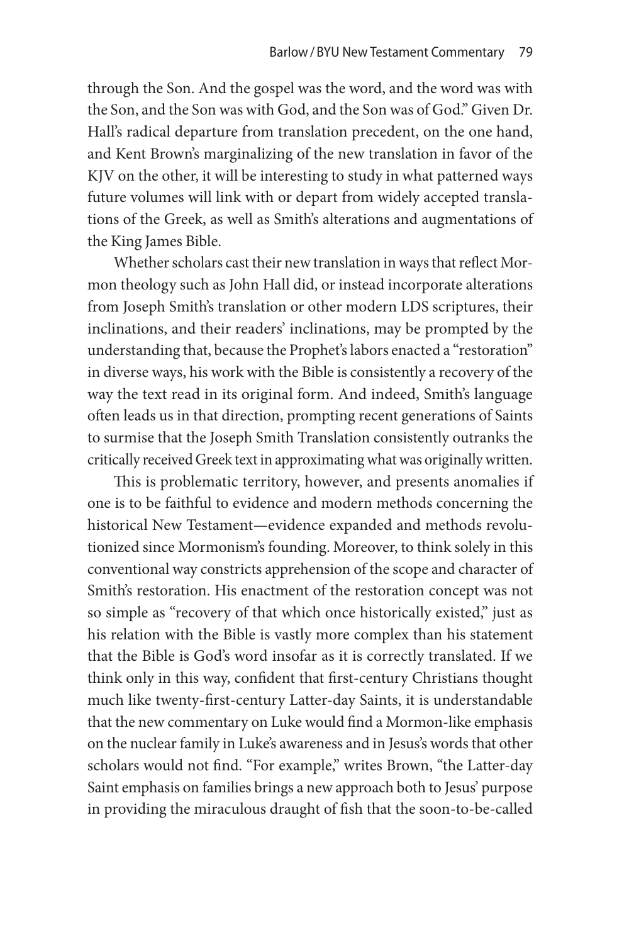through the Son. And the gospel was the word, and the word was with the Son, and the Son was with God, and the Son was of God." Given Dr. Hall's radical departure from translation precedent, on the one hand, and Kent Brown's marginalizing of the new translation in favor of the KJV on the other, it will be interesting to study in what patterned ways future volumes will link with or depart from widely accepted translations of the Greek, as well as Smith's alterations and augmentations of the King James Bible.

Whether scholars cast their new translation in ways that reflect Mormon theology such as John Hall did, or instead incorporate alterations from Joseph Smith's translation or other modern LDS scriptures, their inclinations, and their readers' inclinations, may be prompted by the understanding that, because the Prophet's labors enacted a "restoration" in diverse ways, his work with the Bible is consistently a recovery of the way the text read in its original form. And indeed, Smith's language often leads us in that direction, prompting recent generations of Saints to surmise that the Joseph Smith Translation consistently outranks the critically received Greek text in approximating what was originally written.

This is problematic territory, however, and presents anomalies if one is to be faithful to evidence and modern methods concerning the historical New Testament—evidence expanded and methods revolutionized since Mormonism's founding. Moreover, to think solely in this conventional way constricts apprehension of the scope and character of Smith's restoration. His enactment of the restoration concept was not so simple as "recovery of that which once historically existed," just as his relation with the Bible is vastly more complex than his statement that the Bible is God's word insofar as it is correctly translated. If we think only in this way, confident that first-century Christians thought much like twenty-first-century Latter-day Saints, it is understandable that the new commentary on Luke would find a Mormon-like emphasis on the nuclear family in Luke's awareness and in Jesus's words that other scholars would not find. "For example," writes Brown, "the Latter-day Saint emphasis on families brings a new approach both to Jesus' purpose in providing the miraculous draught of fish that the soon-to-be-called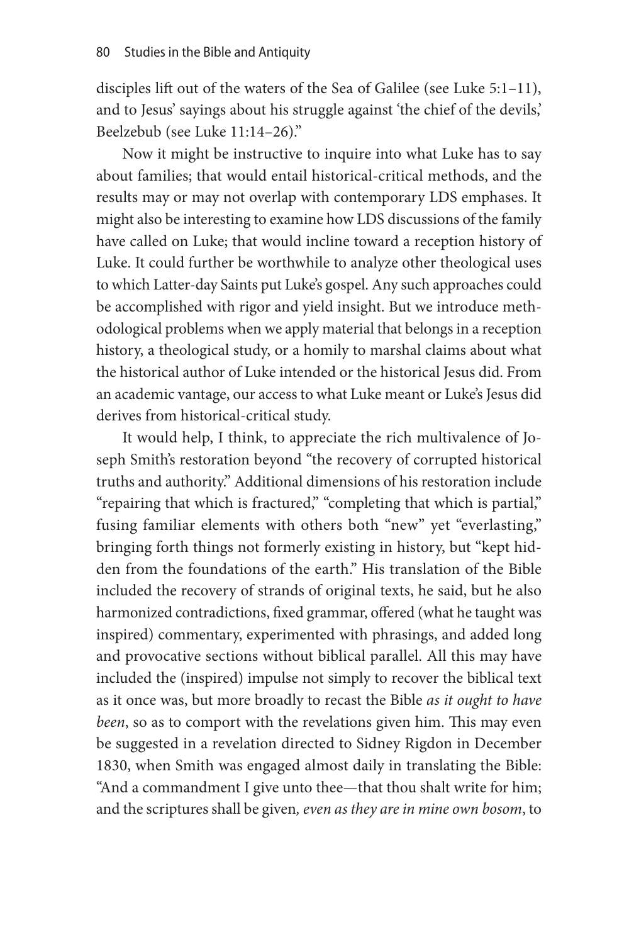disciples lift out of the waters of the Sea of Galilee (see Luke 5:1–11), and to Jesus' sayings about his struggle against 'the chief of the devils,' Beelzebub (see Luke 11:14–26)."

Now it might be instructive to inquire into what Luke has to say about families; that would entail historical-critical methods, and the results may or may not overlap with contemporary LDS emphases. It might also be interesting to examine how LDS discussions of the family have called on Luke; that would incline toward a reception history of Luke. It could further be worthwhile to analyze other theological uses to which Latter-day Saints put Luke's gospel. Any such approaches could be accomplished with rigor and yield insight. But we introduce methodological problems when we apply material that belongs in a reception history, a theological study, or a homily to marshal claims about what the historical author of Luke intended or the historical Jesus did. From an academic vantage, our access to what Luke meant or Luke's Jesus did derives from historical-critical study.

It would help, I think, to appreciate the rich multivalence of Joseph Smith's restoration beyond "the recovery of corrupted historical truths and authority." Additional dimensions of his restoration include "repairing that which is fractured," "completing that which is partial," fusing familiar elements with others both "new" yet "everlasting," bringing forth things not formerly existing in history, but "kept hidden from the foundations of the earth." His translation of the Bible included the recovery of strands of original texts, he said, but he also harmonized contradictions, fixed grammar, offered (what he taught was inspired) commentary, experimented with phrasings, and added long and provocative sections without biblical parallel. All this may have included the (inspired) impulse not simply to recover the biblical text as it once was, but more broadly to recast the Bible *as it ought to have been*, so as to comport with the revelations given him. This may even be suggested in a revelation directed to Sidney Rigdon in December 1830, when Smith was engaged almost daily in translating the Bible: "And a commandment I give unto thee—that thou shalt write for him; and the scriptures shall be given*, even as they are in mine own bosom*, to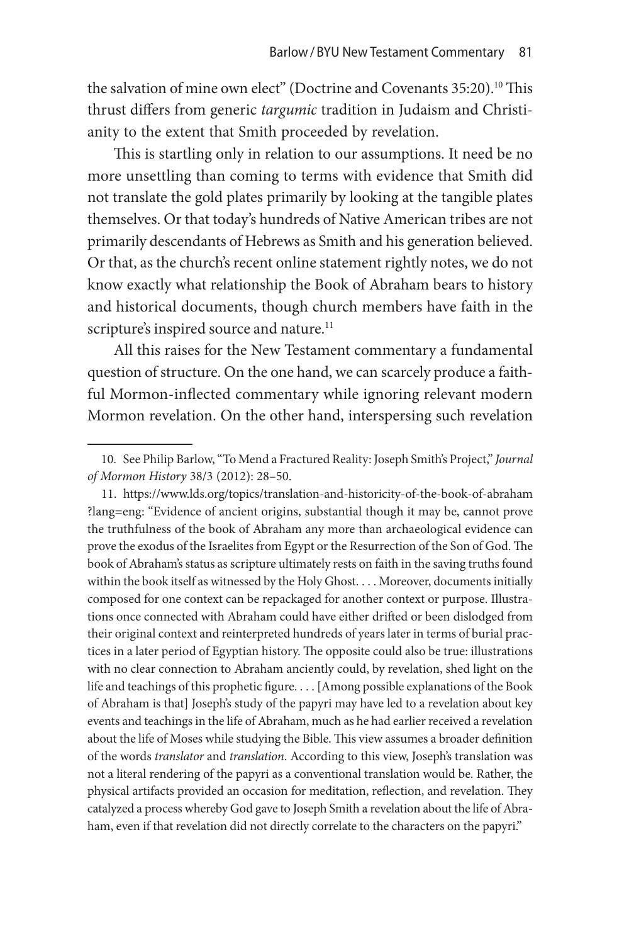the salvation of mine own elect" (Doctrine and Covenants 35:20).<sup>10</sup> This thrust differs from generic *targumic* tradition in Judaism and Christianity to the extent that Smith proceeded by revelation.

This is startling only in relation to our assumptions. It need be no more unsettling than coming to terms with evidence that Smith did not translate the gold plates primarily by looking at the tangible plates themselves. Or that today's hundreds of Native American tribes are not primarily descendants of Hebrews as Smith and his generation believed. Or that, as the church's recent online statement rightly notes, we do not know exactly what relationship the Book of Abraham bears to history and historical documents, though church members have faith in the scripture's inspired source and nature.<sup>11</sup>

All this raises for the New Testament commentary a fundamental question of structure. On the one hand, we can scarcely produce a faithful Mormon-inflected commentary while ignoring relevant modern Mormon revelation. On the other hand, interspersing such revelation

<sup>10.</sup> See Philip Barlow, "To Mend a Fractured Reality: Joseph Smith's Project," *Journal of Mormon History* 38/3 (2012): 28–50.

<sup>11.</sup> https://www.lds.org/topics/translation-and-historicity-of-the-book-of-abraham ?lang=eng: "Evidence of ancient origins, substantial though it may be, cannot prove the truthfulness of the book of Abraham any more than archaeological evidence can prove the exodus of the Israelites from Egypt or the Resurrection of the Son of God. The book of Abraham's status as scripture ultimately rests on faith in the saving truths found within the book itself as witnessed by the Holy Ghost. . . . Moreover, documents initially composed for one context can be repackaged for another context or purpose. Illustrations once connected with Abraham could have either drifted or been dislodged from their original context and reinterpreted hundreds of years later in terms of burial practices in a later period of Egyptian history. The opposite could also be true: illustrations with no clear connection to Abraham anciently could, by revelation, shed light on the life and teachings of this prophetic figure. . . . [Among possible explanations of the Book of Abraham is that] Joseph's study of the papyri may have led to a revelation about key events and teachings in the life of Abraham, much as he had earlier received a revelation about the life of Moses while studying the Bible. This view assumes a broader definition of the words *translator* and *translation*. According to this view, Joseph's translation was not a literal rendering of the papyri as a conventional translation would be. Rather, the physical artifacts provided an occasion for meditation, reflection, and revelation. They catalyzed a process whereby God gave to Joseph Smith a revelation about the life of Abraham, even if that revelation did not directly correlate to the characters on the papyri."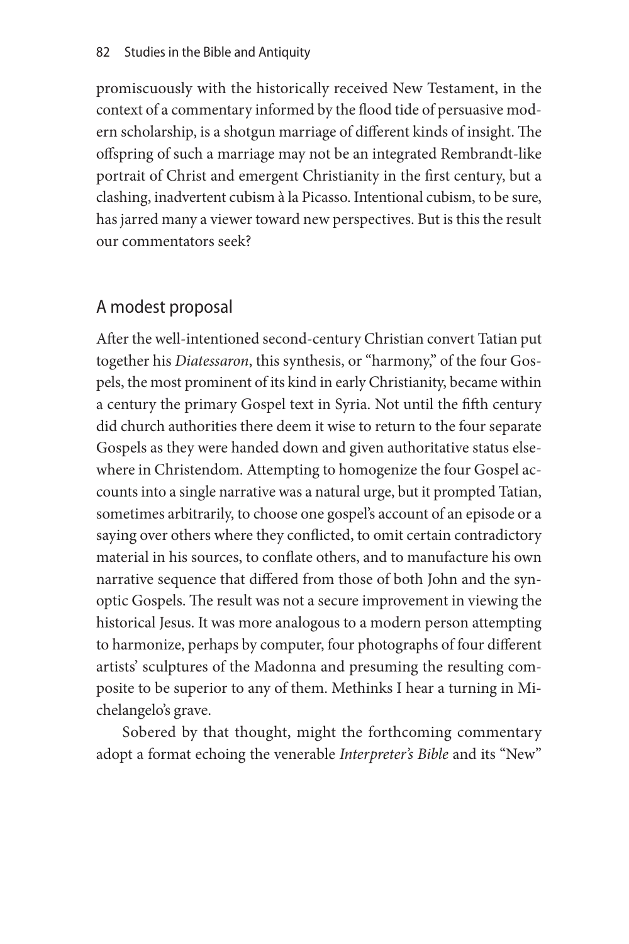promiscuously with the historically received New Testament, in the context of a commentary informed by the flood tide of persuasive modern scholarship, is a shotgun marriage of different kinds of insight. The offspring of such a marriage may not be an integrated Rembrandt-like portrait of Christ and emergent Christianity in the first century, but a clashing, inadvertent cubism à la Picasso. Intentional cubism, to be sure, has jarred many a viewer toward new perspectives. But is this the result our commentators seek?

### A modest proposal

After the well-intentioned second-century Christian convert Tatian put together his *Diatessaron*, this synthesis, or "harmony," of the four Gospels, the most prominent of its kind in early Christianity, became within a century the primary Gospel text in Syria. Not until the fifth century did church authorities there deem it wise to return to the four separate Gospels as they were handed down and given authoritative status elsewhere in Christendom. Attempting to homogenize the four Gospel accounts into a single narrative was a natural urge, but it prompted Tatian, sometimes arbitrarily, to choose one gospel's account of an episode or a saying over others where they conflicted, to omit certain contradictory material in his sources, to conflate others, and to manufacture his own narrative sequence that differed from those of both John and the synoptic Gospels. The result was not a secure improvement in viewing the historical Jesus. It was more analogous to a modern person attempting to harmonize, perhaps by computer, four photographs of four different artists' sculptures of the Madonna and presuming the resulting composite to be superior to any of them. Methinks I hear a turning in Michelangelo's grave.

Sobered by that thought, might the forthcoming commentary adopt a format echoing the venerable *Interpreter's Bible* and its "New"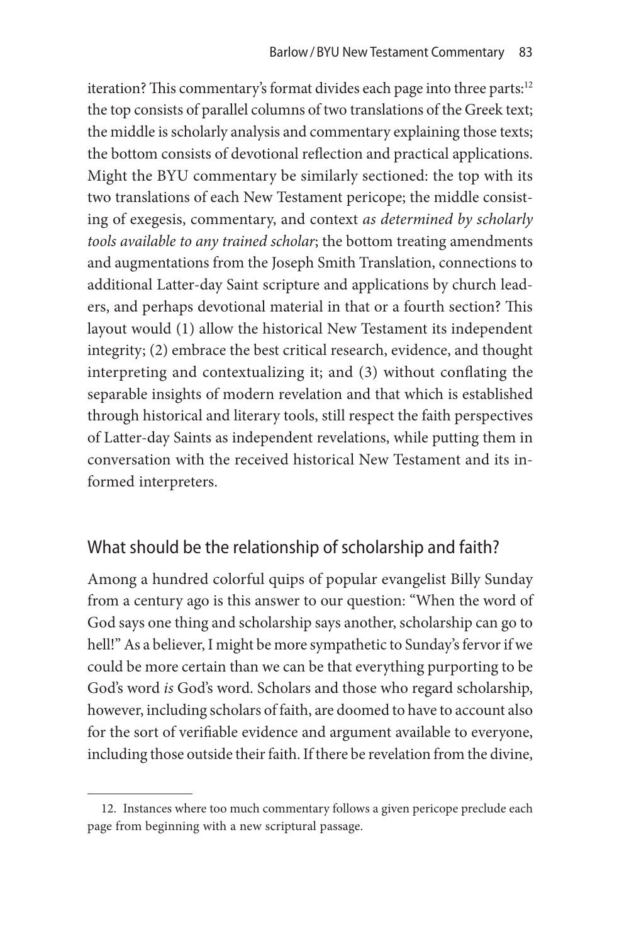iteration? This commentary's format divides each page into three parts:<sup>12</sup> the top consists of parallel columns of two translations of the Greek text; the middle is scholarly analysis and commentary explaining those texts; the bottom consists of devotional reflection and practical applications. Might the BYU commentary be similarly sectioned: the top with its two translations of each New Testament pericope; the middle consisting of exegesis, commentary, and context *as determined by scholarly tools available to any trained scholar*; the bottom treating amendments and augmentations from the Joseph Smith Translation, connections to additional Latter-day Saint scripture and applications by church leaders, and perhaps devotional material in that or a fourth section? This layout would (1) allow the historical New Testament its independent integrity; (2) embrace the best critical research, evidence, and thought interpreting and contextualizing it; and (3) without conflating the separable insights of modern revelation and that which is established through historical and literary tools, still respect the faith perspectives of Latter-day Saints as independent revelations, while putting them in conversation with the received historical New Testament and its informed interpreters.

### What should be the relationship of scholarship and faith?

Among a hundred colorful quips of popular evangelist Billy Sunday from a century ago is this answer to our question: "When the word of God says one thing and scholarship says another, scholarship can go to hell!" As a believer, I might be more sympathetic to Sunday's fervor if we could be more certain than we can be that everything purporting to be God's word *is* God's word. Scholars and those who regard scholarship, however, including scholars of faith, are doomed to have to account also for the sort of verifiable evidence and argument available to everyone, including those outside their faith. If there be revelation from the divine,

<sup>12.</sup> Instances where too much commentary follows a given pericope preclude each page from beginning with a new scriptural passage.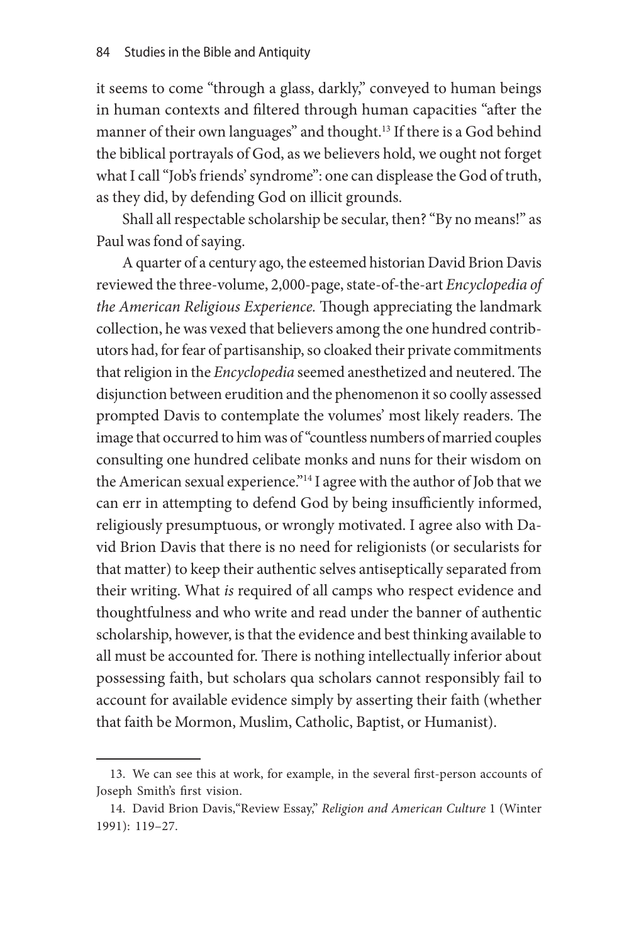it seems to come "through a glass, darkly," conveyed to human beings in human contexts and filtered through human capacities "after the manner of their own languages" and thought.<sup>13</sup> If there is a God behind the biblical portrayals of God, as we believers hold, we ought not forget what I call "Job's friends' syndrome": one can displease the God of truth, as they did, by defending God on illicit grounds.

Shall all respectable scholarship be secular, then? "By no means!" as Paul was fond of saying.

A quarter of a century ago, the esteemed historian David Brion Davis reviewed the three-volume, 2,000-page, state-of-the-art *Encyclopedia of the American Religious Experience.* Though appreciating the landmark collection, he was vexed that believers among the one hundred contributors had, for fear of partisanship, so cloaked their private commitments that religion in the *Encyclopedia* seemed anesthetized and neutered. The disjunction between erudition and the phenomenon it so coolly assessed prompted Davis to contemplate the volumes' most likely readers. The image that occurred to him was of "countless numbers of married couples consulting one hundred celibate monks and nuns for their wisdom on the American sexual experience."14 I agree with the author of Job that we can err in attempting to defend God by being insufficiently informed, religiously presumptuous, or wrongly motivated. I agree also with David Brion Davis that there is no need for religionists (or secularists for that matter) to keep their authentic selves antiseptically separated from their writing. What *is* required of all camps who respect evidence and thoughtfulness and who write and read under the banner of authentic scholarship, however, is that the evidence and best thinking available to all must be accounted for. There is nothing intellectually inferior about possessing faith, but scholars qua scholars cannot responsibly fail to account for available evidence simply by asserting their faith (whether that faith be Mormon, Muslim, Catholic, Baptist, or Humanist).

<sup>13.</sup> We can see this at work, for example, in the several first-person accounts of Joseph Smith's first vision.

<sup>14.</sup> David Brion Davis,"Review Essay," *Religion and American Culture* 1 (Winter 1991): 119–27.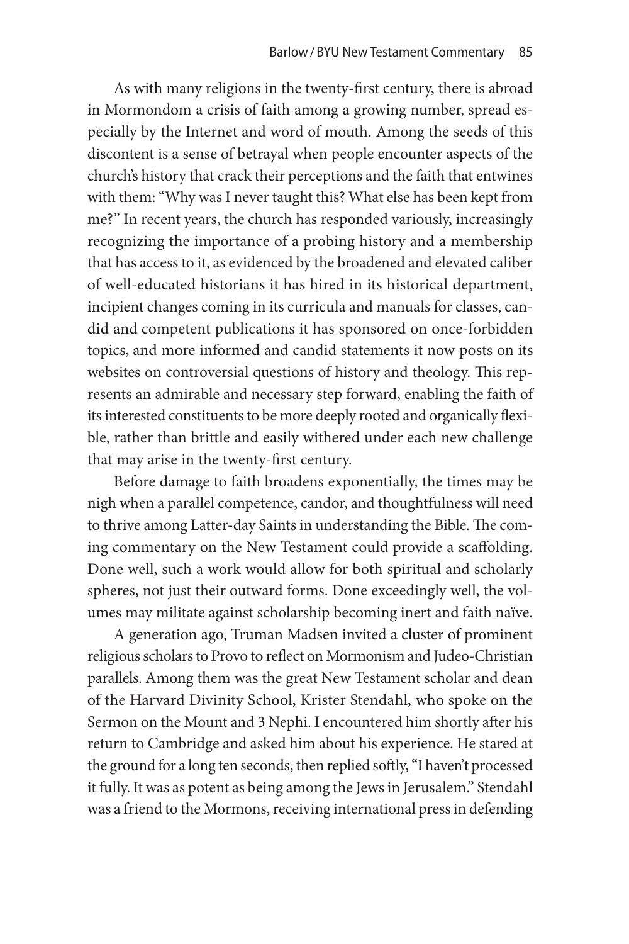As with many religions in the twenty-first century, there is abroad in Mormondom a crisis of faith among a growing number, spread especially by the Internet and word of mouth. Among the seeds of this discontent is a sense of betrayal when people encounter aspects of the church's history that crack their perceptions and the faith that entwines with them: "Why was I never taught this? What else has been kept from me?" In recent years, the church has responded variously, increasingly recognizing the importance of a probing history and a membership that has access to it, as evidenced by the broadened and elevated caliber of well-educated historians it has hired in its historical department, incipient changes coming in its curricula and manuals for classes, candid and competent publications it has sponsored on once-forbidden topics, and more informed and candid statements it now posts on its websites on controversial questions of history and theology. This represents an admirable and necessary step forward, enabling the faith of its interested constituents to be more deeply rooted and organically flexible, rather than brittle and easily withered under each new challenge that may arise in the twenty-first century.

Before damage to faith broadens exponentially, the times may be nigh when a parallel competence, candor, and thoughtfulness will need to thrive among Latter-day Saints in understanding the Bible. The coming commentary on the New Testament could provide a scaffolding. Done well, such a work would allow for both spiritual and scholarly spheres, not just their outward forms. Done exceedingly well, the volumes may militate against scholarship becoming inert and faith naïve.

A generation ago, Truman Madsen invited a cluster of prominent religious scholars to Provo to reflect on Mormonism and Judeo-Christian parallels. Among them was the great New Testament scholar and dean of the Harvard Divinity School, Krister Stendahl, who spoke on the Sermon on the Mount and 3 Nephi. I encountered him shortly after his return to Cambridge and asked him about his experience. He stared at the ground for a long ten seconds, then replied softly, "I haven't processed it fully. It was as potent as being among the Jews in Jerusalem." Stendahl was a friend to the Mormons, receiving international press in defending